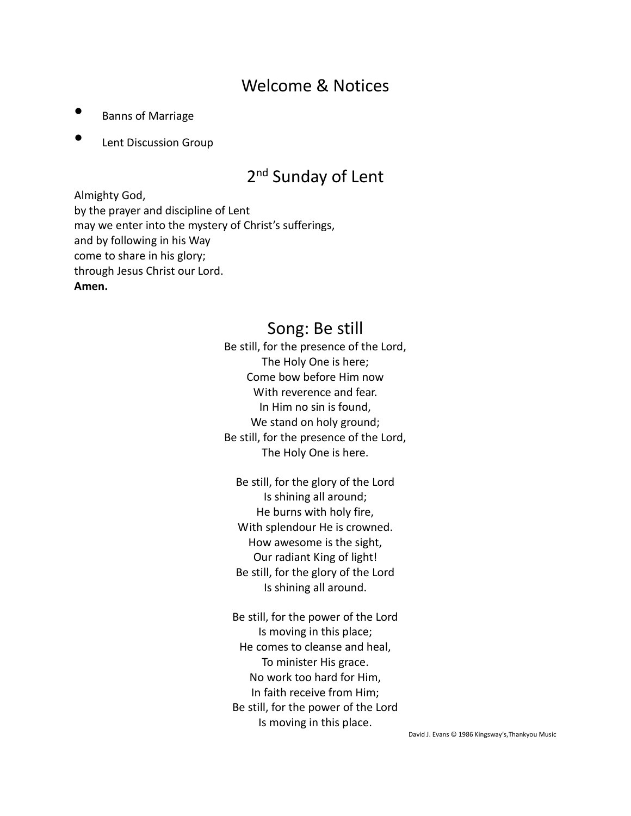## Welcome & Notices

- Banns of Marriage
- Lent Discussion Group

# 2<sup>nd</sup> Sunday of Lent

Almighty God, by the prayer and discipline of Lent may we enter into the mystery of Christ's sufferings, and by following in his Way come to share in his glory; through Jesus Christ our Lord. **Amen.**

### Song: Be still

Be still, for the presence of the Lord, The Holy One is here; Come bow before Him now With reverence and fear. In Him no sin is found, We stand on holy ground; Be still, for the presence of the Lord, The Holy One is here.

Be still, for the glory of the Lord Is shining all around; He burns with holy fire, With splendour He is crowned. How awesome is the sight, Our radiant King of light! Be still, for the glory of the Lord Is shining all around.

Be still, for the power of the Lord Is moving in this place; He comes to cleanse and heal, To minister His grace. No work too hard for Him, In faith receive from Him; Be still, for the power of the Lord Is moving in this place.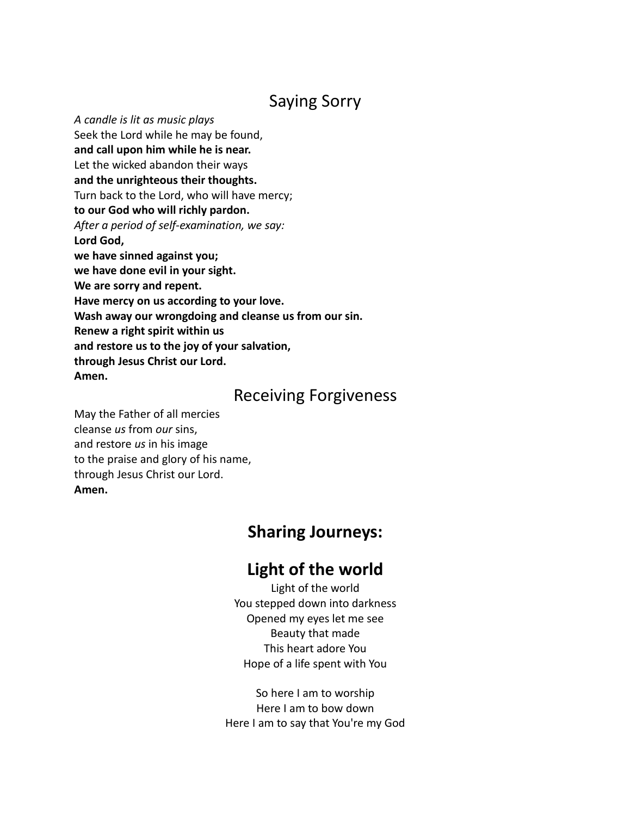### Saying Sorry

*A candle is lit as music plays* Seek the Lord while he may be found, **and call upon him while he is near.** Let the wicked abandon their ways **and the unrighteous their thoughts.** Turn back to the Lord, who will have mercy; **to our God who will richly pardon.** *After a period of self-examination, we say:* **Lord God, we have sinned against you; we have done evil in your sight. We are sorry and repent. Have mercy on us according to your love. Wash away our wrongdoing and cleanse us from our sin. Renew a right spirit within us and restore us to the joy of your salvation, through Jesus Christ our Lord. Amen.**

### Receiving Forgiveness

May the Father of all mercies cleanse *us* from *our* sins, and restore *us* in his image to the praise and glory of his name, through Jesus Christ our Lord. **Amen.**

## **Sharing Journeys:**

## **Light of the world**

Light of the world You stepped down into darkness Opened my eyes let me see Beauty that made This heart adore You Hope of a life spent with You

So here I am to worship Here I am to bow down Here I am to say that You're my God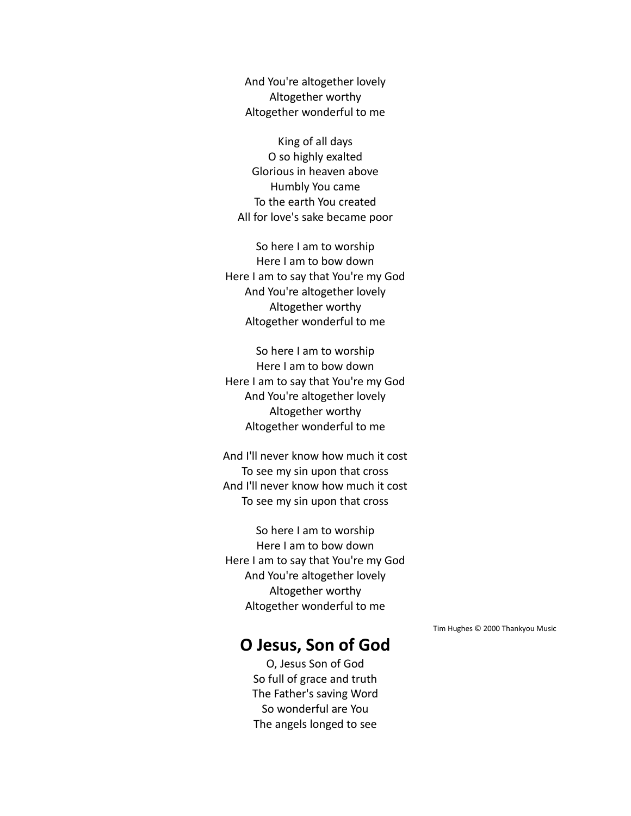And You're altogether lovely Altogether worthy Altogether wonderful to me

King of all days O so highly exalted Glorious in heaven above Humbly You came To the earth You created All for love's sake became poor

So here I am to worship Here I am to bow down Here I am to say that You're my God And You're altogether lovely Altogether worthy Altogether wonderful to me

So here I am to worship Here I am to bow down Here I am to say that You're my God And You're altogether lovely Altogether worthy Altogether wonderful to me

And I'll never know how much it cost To see my sin upon that cross And I'll never know how much it cost To see my sin upon that cross

So here I am to worship Here I am to bow down Here I am to say that You're my God And You're altogether lovely Altogether worthy Altogether wonderful to me

#### **O Jesus, Son of God**

O, Jesus Son of God So full of grace and truth The Father's saving Word So wonderful are You The angels longed to see

Tim Hughes © 2000 Thankyou Music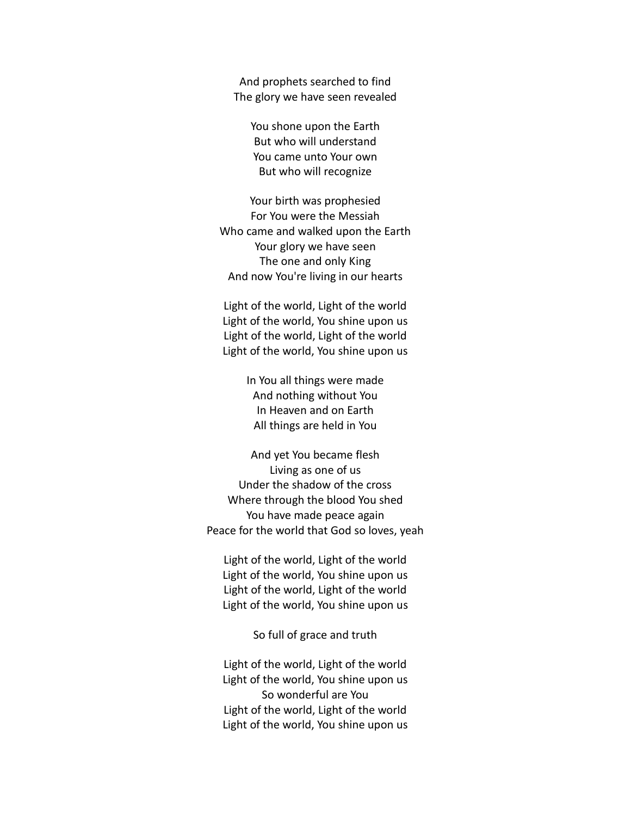And prophets searched to find The glory we have seen revealed

> You shone upon the Earth But who will understand You came unto Your own But who will recognize

Your birth was prophesied For You were the Messiah Who came and walked upon the Earth Your glory we have seen The one and only King And now You're living in our hearts

Light of the world, Light of the world Light of the world, You shine upon us Light of the world, Light of the world Light of the world, You shine upon us

> In You all things were made And nothing without You In Heaven and on Earth All things are held in You

And yet You became flesh Living as one of us Under the shadow of the cross Where through the blood You shed You have made peace again Peace for the world that God so loves, yeah

Light of the world, Light of the world Light of the world, You shine upon us Light of the world, Light of the world Light of the world, You shine upon us

So full of grace and truth

Light of the world, Light of the world Light of the world, You shine upon us So wonderful are You Light of the world, Light of the world Light of the world, You shine upon us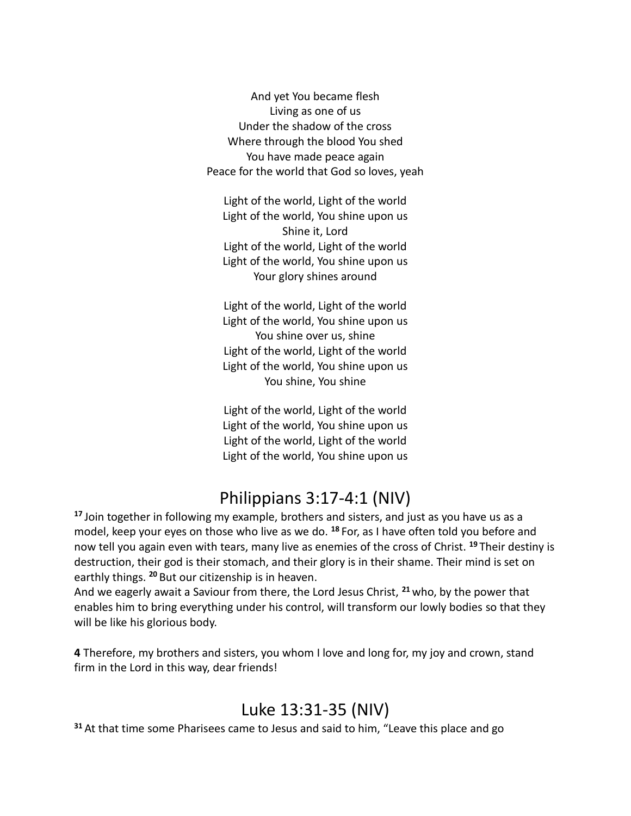And yet You became flesh Living as one of us Under the shadow of the cross Where through the blood You shed You have made peace again Peace for the world that God so loves, yeah

Light of the world, Light of the world Light of the world, You shine upon us Shine it, Lord Light of the world, Light of the world Light of the world, You shine upon us Your glory shines around

Light of the world, Light of the world Light of the world, You shine upon us You shine over us, shine Light of the world, Light of the world Light of the world, You shine upon us You shine, You shine

Light of the world, Light of the world Light of the world, You shine upon us Light of the world, Light of the world Light of the world, You shine upon us

# Philippians 3:17-4:1 (NIV)

**<sup>17</sup>** Join together in following my example, brothers and sisters, and just as you have us as a model, keep your eyes on those who live as we do. **<sup>18</sup>** For, as I have often told you before and now tell you again even with tears, many live as enemies of the cross of Christ. **<sup>19</sup>** Their destiny is destruction, their god is their stomach, and their glory is in their shame. Their mind is set on earthly things. **<sup>20</sup>** But our citizenship is in heaven.

And we eagerly await a Saviour from there, the Lord Jesus Christ, **<sup>21</sup>** who, by the power that enables him to bring everything under his control, will transform our lowly bodies so that they will be like his glorious body.

**4** Therefore, my brothers and sisters, you whom I love and long for, my joy and crown, stand firm in the Lord in this way, dear friends!

# Luke 13:31-35 (NIV)

**<sup>31</sup>** At that time some Pharisees came to Jesus and said to him, "Leave this place and go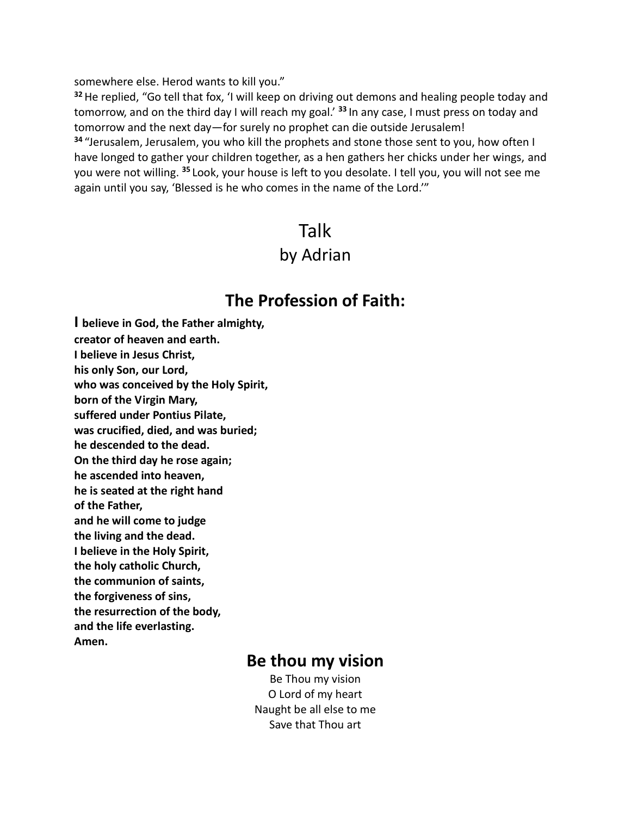somewhere else. Herod wants to kill you."

**<sup>32</sup>**He replied, "Go tell that fox, 'I will keep on driving out demons and healing people today and tomorrow, and on the third day I will reach my goal.' **<sup>33</sup>** In any case, I must press on today and tomorrow and the next day—for surely no prophet can die outside Jerusalem! **<sup>34</sup>** "Jerusalem, Jerusalem, you who kill the prophets and stone those sent to you, how often I have longed to gather your children together, as a hen gathers her chicks under her wings, and you were not willing. **<sup>35</sup>** Look, your house is left to you desolate. I tell you, you will not see me again until you say, 'Blessed is he who comes in the name of the Lord.'"

# Talk

## by Adrian

## **The Profession of Faith:**

**I believe in God, the Father almighty, creator of heaven and earth. I believe in Jesus Christ, his only Son, our Lord, who was conceived by the Holy Spirit, born of the Virgin Mary, suffered under Pontius Pilate, was crucified, died, and was buried; he descended to the dead. On the third day he rose again; he ascended into heaven, he is seated at the right hand of the Father, and he will come to judge the living and the dead. I believe in the Holy Spirit, the holy catholic Church, the communion of saints, the forgiveness of sins, the resurrection of the body, and the life everlasting. Amen.**

### **Be thou my vision**

Be Thou my vision O Lord of my heart Naught be all else to me Save that Thou art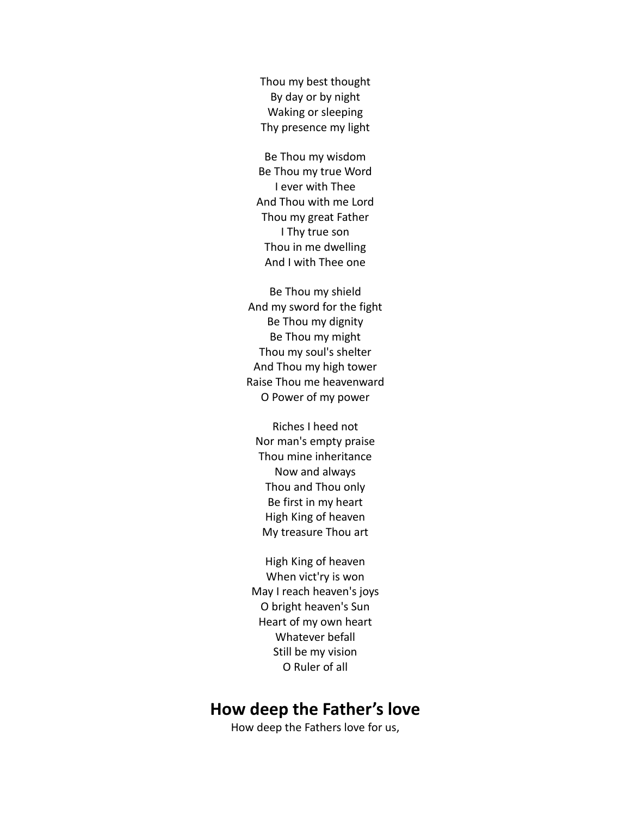Thou my best thought By day or by night Waking or sleeping Thy presence my light

Be Thou my wisdom Be Thou my true Word I ever with Thee And Thou with me Lord Thou my great Father I Thy true son Thou in me dwelling And I with Thee one

Be Thou my shield And my sword for the fight Be Thou my dignity Be Thou my might Thou my soul's shelter And Thou my high tower Raise Thou me heavenward O Power of my power

Riches I heed not Nor man's empty praise Thou mine inheritance Now and always Thou and Thou only Be first in my heart High King of heaven My treasure Thou art

High King of heaven When vict'ry is won May I reach heaven's joys O bright heaven's Sun Heart of my own heart Whatever befall Still be my vision O Ruler of all

#### **How deep the Father's love**

How deep the Fathers love for us,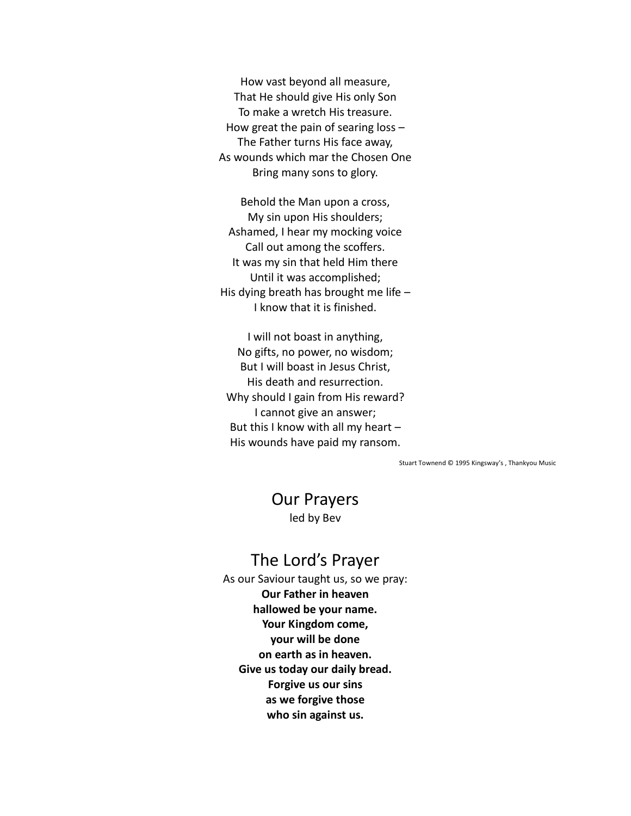How vast beyond all measure, That He should give His only Son To make a wretch His treasure. How great the pain of searing loss – The Father turns His face away, As wounds which mar the Chosen One Bring many sons to glory.

Behold the Man upon a cross, My sin upon His shoulders; Ashamed, I hear my mocking voice Call out among the scoffers. It was my sin that held Him there Until it was accomplished; His dying breath has brought me life – I know that it is finished.

I will not boast in anything, No gifts, no power, no wisdom; But I will boast in Jesus Christ, His death and resurrection. Why should I gain from His reward? I cannot give an answer; But this I know with all my heart  $-$ His wounds have paid my ransom.

Stuart Townend © 1995 Kingsway's , Thankyou Music

Our Prayers led by Bev

### The Lord's Prayer

As our Saviour taught us, so we pray: **Our Father in heaven hallowed be your name. Your Kingdom come, your will be done on earth as in heaven. Give us today our daily bread. Forgive us our sins as we forgive those who sin against us.**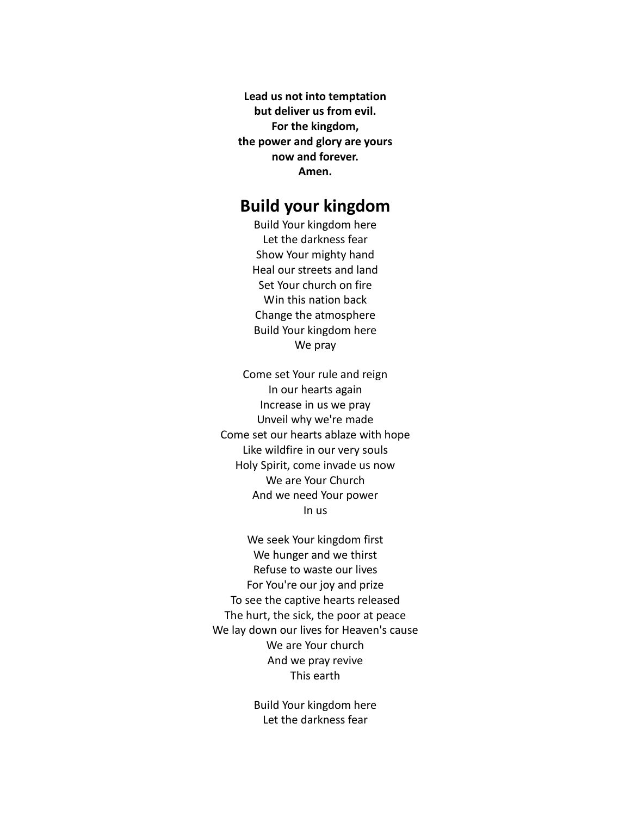**Lead us not into temptation but deliver us from evil. For the kingdom, the power and glory are yours now and forever. Amen.** 

#### **Build your kingdom**

Build Your kingdom here Let the darkness fear Show Your mighty hand Heal our streets and land Set Your church on fire Win this nation back Change the atmosphere Build Your kingdom here We pray

Come set Your rule and reign In our hearts again Increase in us we pray Unveil why we're made Come set our hearts ablaze with hope Like wildfire in our very souls Holy Spirit, come invade us now We are Your Church And we need Your power In us

We seek Your kingdom first We hunger and we thirst Refuse to waste our lives For You're our joy and prize To see the captive hearts released The hurt, the sick, the poor at peace We lay down our lives for Heaven's cause We are Your church And we pray revive This earth

> Build Your kingdom here Let the darkness fear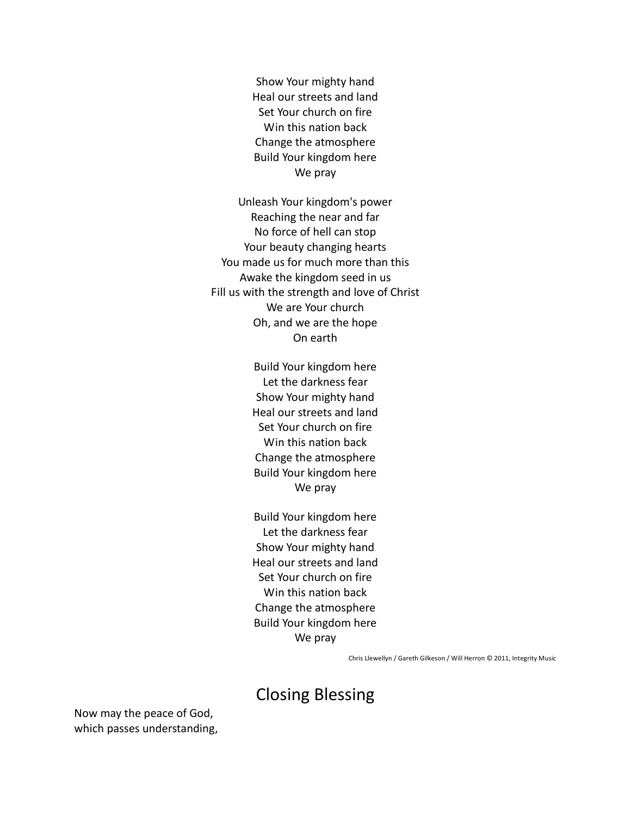Show Your mighty hand Heal our streets and land Set Your church on fire Win this nation back Change the atmosphere Build Your kingdom here We pray

Unleash Your kingdom's power Reaching the near and far No force of hell can stop Your beauty changing hearts You made us for much more than this Awake the kingdom seed in us Fill us with the strength and love of Christ We are Your church Oh, and we are the hope On earth

> Build Your kingdom here Let the darkness fear Show Your mighty hand Heal our streets and land Set Your church on fire Win this nation back Change the atmosphere Build Your kingdom here We pray

> Build Your kingdom here Let the darkness fear Show Your mighty hand Heal our streets and land Set Your church on fire Win this nation back Change the atmosphere Build Your kingdom here We pray

> > Chris Llewellyn / Gareth Gilkeson / Will Herron © 2011, Integrity Music

## Closing Blessing

Now may the peace of God, which passes understanding,